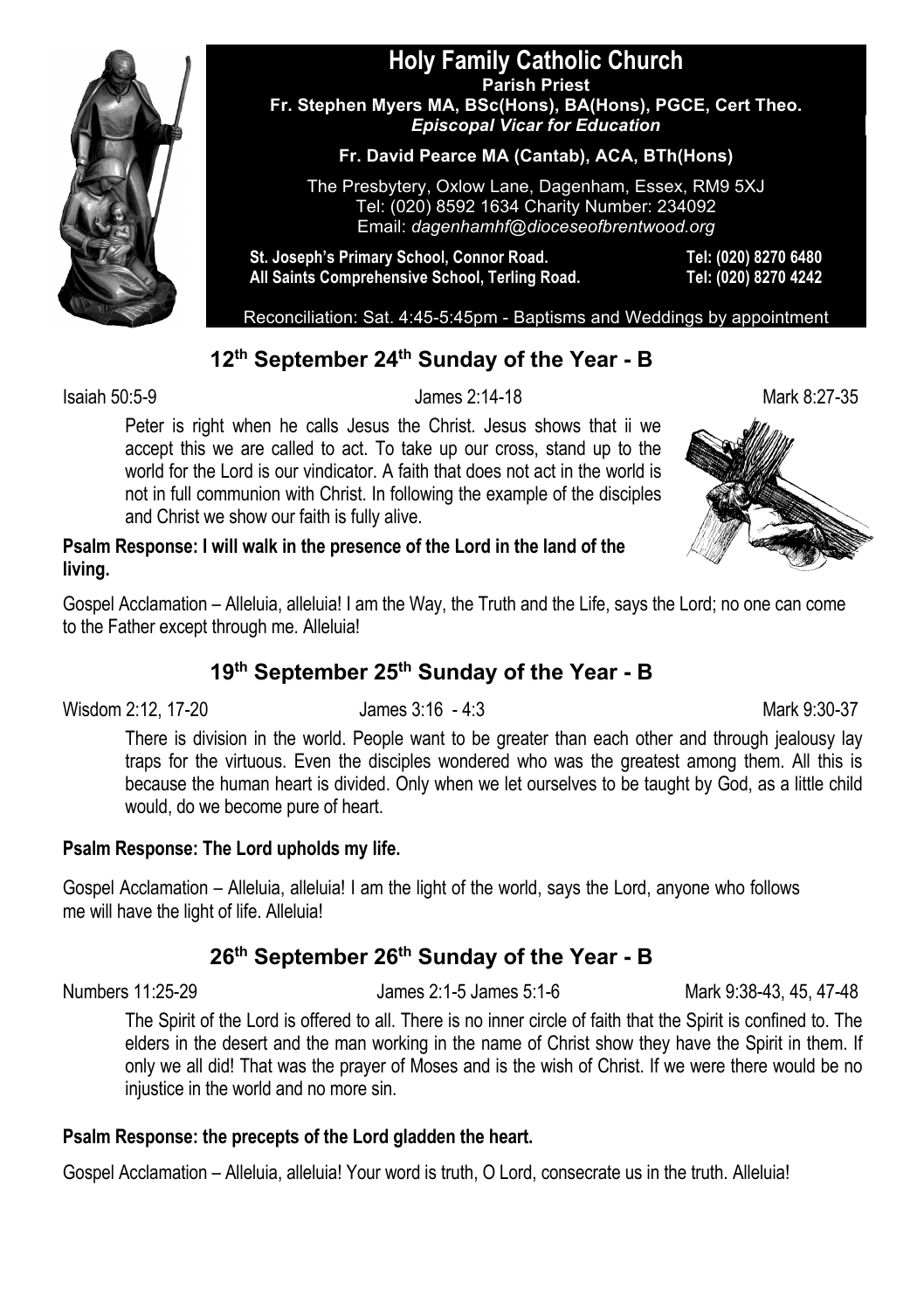

#### **Holy Family Catholic Church Parish Priest Fr. Stephen Myers MA, BSc(Hons), BA(Hons), PGCE, Cert Theo.** *Episcopal Vicar for Education*

#### **Fr. David Pearce MA (Cantab), ACA, BTh(Hons)**

The Presbytery, Oxlow Lane, Dagenham, Essex, RM9 5XJ Tel: (020) 8592 1634 Charity Number: 234092 Email: *dagenhamhf@dioceseofbrentwood.org*

**St. Joseph's Primary School, Connor Road. Tel: (020) 8270 6480 All Saints Comprehensive School, Terling Road. Tel: (020) 8270 4242**

Reconciliation: Sat. 4:45-5:45pm - Baptisms and Weddings by appointment

## **12th September 24th Sunday of the Year - B**

Isaiah 50:5-9 James 2:14-18 Mark 8:27-35

Peter is right when he calls Jesus the Christ. Jesus shows that ii we accept this we are called to act. To take up our cross, stand up to the world for the Lord is our vindicator. A faith that does not act in the world is not in full communion with Christ. In following the example of the disciples and Christ we show our faith is fully alive.



#### **Psalm Response: I will walk in the presence of the Lord in the land of the living.**

Gospel Acclamation – Alleluia, alleluia! I am the Way, the Truth and the Life, says the Lord; no one can come to the Father except through me. Alleluia!

# **19th September 25th Sunday of the Year - B**

Wisdom 2:12, 17-20 James 3:16 - 4:3

There is division in the world. People want to be greater than each other and through jealousy lay traps for the virtuous. Even the disciples wondered who was the greatest among them. All this is because the human heart is divided. Only when we let ourselves to be taught by God, as a little child would, do we become pure of heart.

#### **Psalm Response: The Lord upholds my life.**

Gospel Acclamation – Alleluia, alleluia! I am the light of the world, says the Lord, anyone who follows me will have the light of life. Alleluia!

# **26th September 26th Sunday of the Year - B**

Numbers 11:25-29 James 2:1-5 James 5:1-6 Mark 9:38-43, 45, 47-48

The Spirit of the Lord is offered to all. There is no inner circle of faith that the Spirit is confined to. The elders in the desert and the man working in the name of Christ show they have the Spirit in them. If only we all did! That was the prayer of Moses and is the wish of Christ. If we were there would be no injustice in the world and no more sin.

#### **Psalm Response: the precepts of the Lord gladden the heart.**

Gospel Acclamation – Alleluia, alleluia! Your word is truth, O Lord, consecrate us in the truth. Alleluia!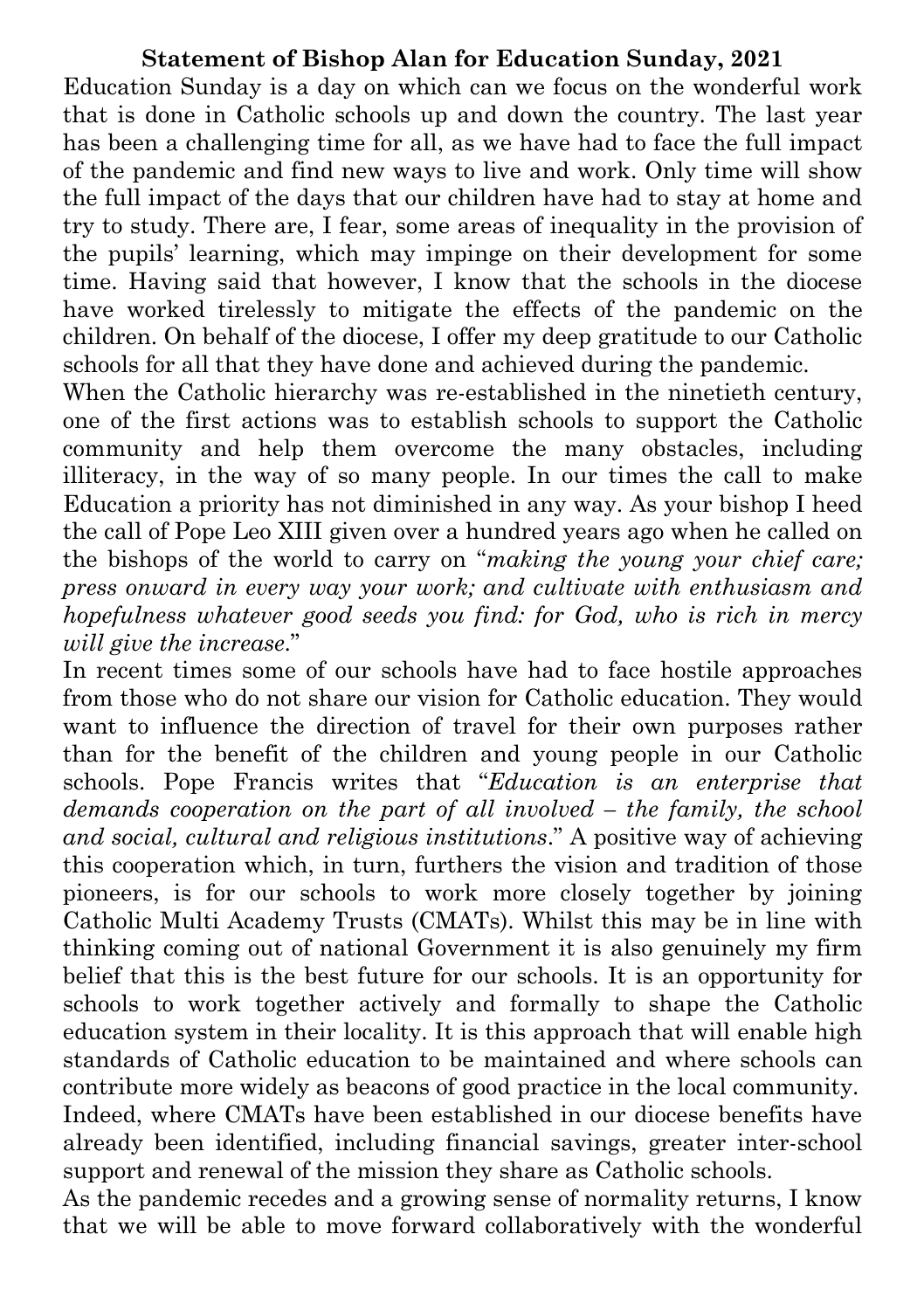## **Statement of Bishop Alan for Education Sunday, 2021**

Education Sunday is a day on which can we focus on the wonderful work that is done in Catholic schools up and down the country. The last year has been a challenging time for all, as we have had to face the full impact of the pandemic and find new ways to live and work. Only time will show the full impact of the days that our children have had to stay at home and try to study. There are, I fear, some areas of inequality in the provision of the pupils' learning, which may impinge on their development for some time. Having said that however, I know that the schools in the diocese have worked tirelessly to mitigate the effects of the pandemic on the children. On behalf of the diocese, I offer my deep gratitude to our Catholic schools for all that they have done and achieved during the pandemic.

When the Catholic hierarchy was re-established in the ninetieth century, one of the first actions was to establish schools to support the Catholic community and help them overcome the many obstacles, including illiteracy, in the way of so many people. In our times the call to make Education a priority has not diminished in any way. As your bishop I heed the call of Pope Leo XIII given over a hundred years ago when he called on the bishops of the world to carry on "*making the young your chief care; press onward in every way your work; and cultivate with enthusiasm and hopefulness whatever good seeds you find: for God, who is rich in mercy will give the increase*."

In recent times some of our schools have had to face hostile approaches from those who do not share our vision for Catholic education. They would want to influence the direction of travel for their own purposes rather than for the benefit of the children and young people in our Catholic schools. Pope Francis writes that "*Education is an enterprise that demands cooperation on the part of all involved – the family, the school and social, cultural and religious institutions*." A positive way of achieving this cooperation which, in turn, furthers the vision and tradition of those pioneers, is for our schools to work more closely together by joining Catholic Multi Academy Trusts (CMATs). Whilst this may be in line with thinking coming out of national Government it is also genuinely my firm belief that this is the best future for our schools. It is an opportunity for schools to work together actively and formally to shape the Catholic education system in their locality. It is this approach that will enable high standards of Catholic education to be maintained and where schools can contribute more widely as beacons of good practice in the local community. Indeed, where CMATs have been established in our diocese benefits have already been identified, including financial savings, greater inter-school support and renewal of the mission they share as Catholic schools.

As the pandemic recedes and a growing sense of normality returns, I know that we will be able to move forward collaboratively with the wonderful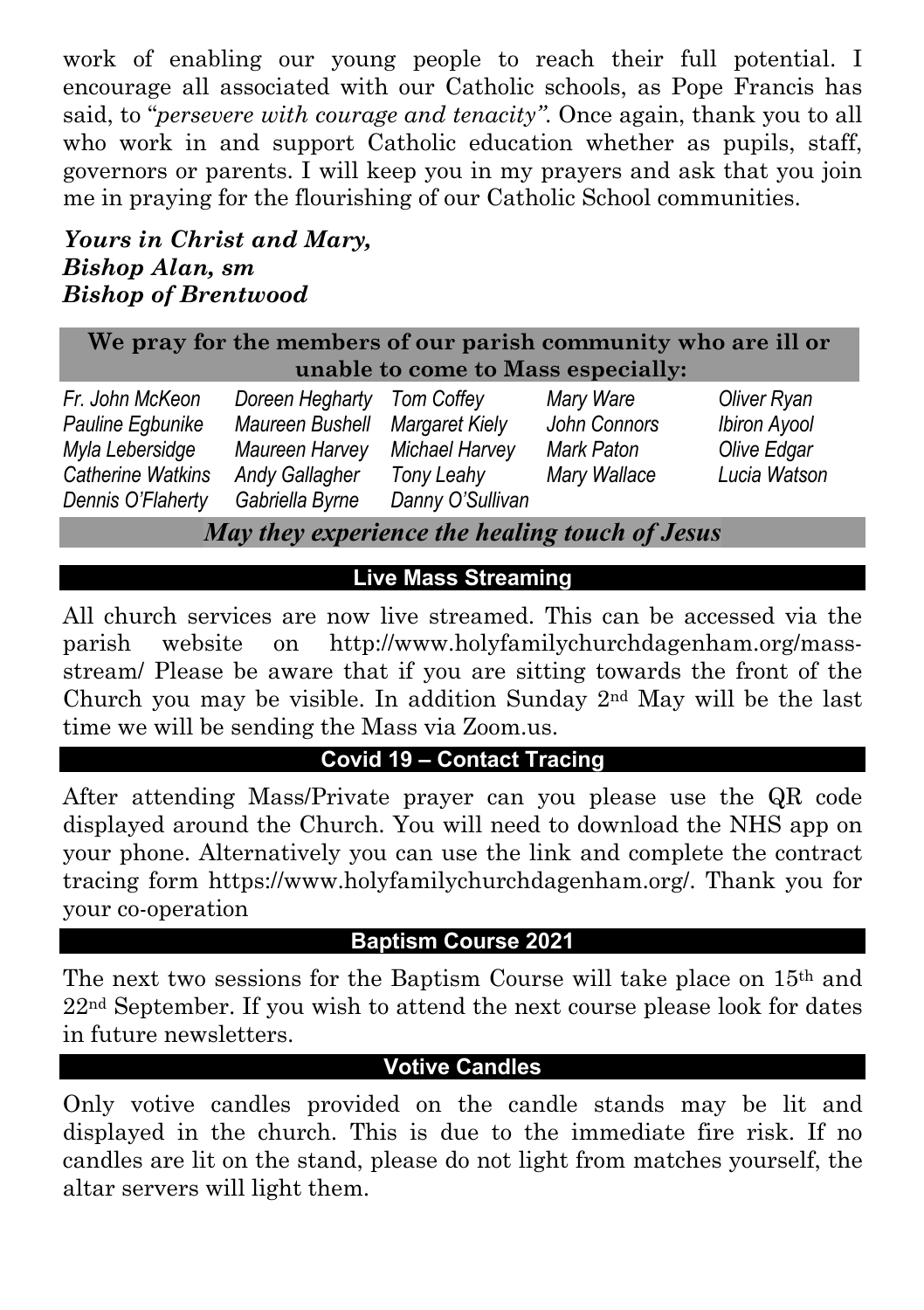work of enabling our young people to reach their full potential. I encourage all associated with our Catholic schools, as Pope Francis has said, to "*persevere with courage and tenacity"*. Once again, thank you to all who work in and support Catholic education whether as pupils, staff, governors or parents. I will keep you in my prayers and ask that you join me in praying for the flourishing of our Catholic School communities.

## *Yours in Christ and Mary, Bishop Alan, sm Bishop of Brentwood*

**We pray for the members of our parish community who are ill or unable to come to Mass especially:**

| Fr. John McKeon          | Doreen Hegharty Tom Coffey |                  | Mary Ware    | Oliver Ryan  |
|--------------------------|----------------------------|------------------|--------------|--------------|
| Pauline Egbunike         | Maureen Bushell            | Margaret Kiely   | John Connors | Ibiron Ayool |
| Myla Lebersidge          | Maureen Harvey             | Michael Harvey   | Mark Paton   | Olive Edgar  |
| <b>Catherine Watkins</b> | <b>Andy Gallagher</b>      | Tony Leahy       | Mary Wallace | Lucia Watson |
| Dennis O'Flaherty        | Gabriella Byrne            | Danny O'Sullivan |              |              |

*May they experience the healing touch of Jesus*

# **Live Mass Streaming**

All church services are now live streamed. This can be accessed via the parish website on http://www.holyfamilychurchdagenham.org/massstream/ Please be aware that if you are sitting towards the front of the Church you may be visible. In addition Sunday 2nd May will be the last time we will be sending the Mass via Zoom.us.

# **Covid 19 – Contact Tracing**

After attending Mass/Private prayer can you please use the QR code displayed around the Church. You will need to download the NHS app on your phone. Alternatively you can use the link and complete the contract tracing form https://www.holyfamilychurchdagenham.org/. Thank you for your co-operation

# **Baptism Course 2021**

The next two sessions for the Baptism Course will take place on 15th and  $22<sup>nd</sup> September. If you wish to attend the next course please look for dates$ in future newsletters.

### **Votive Candles**

Only votive candles provided on the candle stands may be lit and displayed in the church. This is due to the immediate fire risk. If no candles are lit on the stand, please do not light from matches yourself, the altar servers will light them.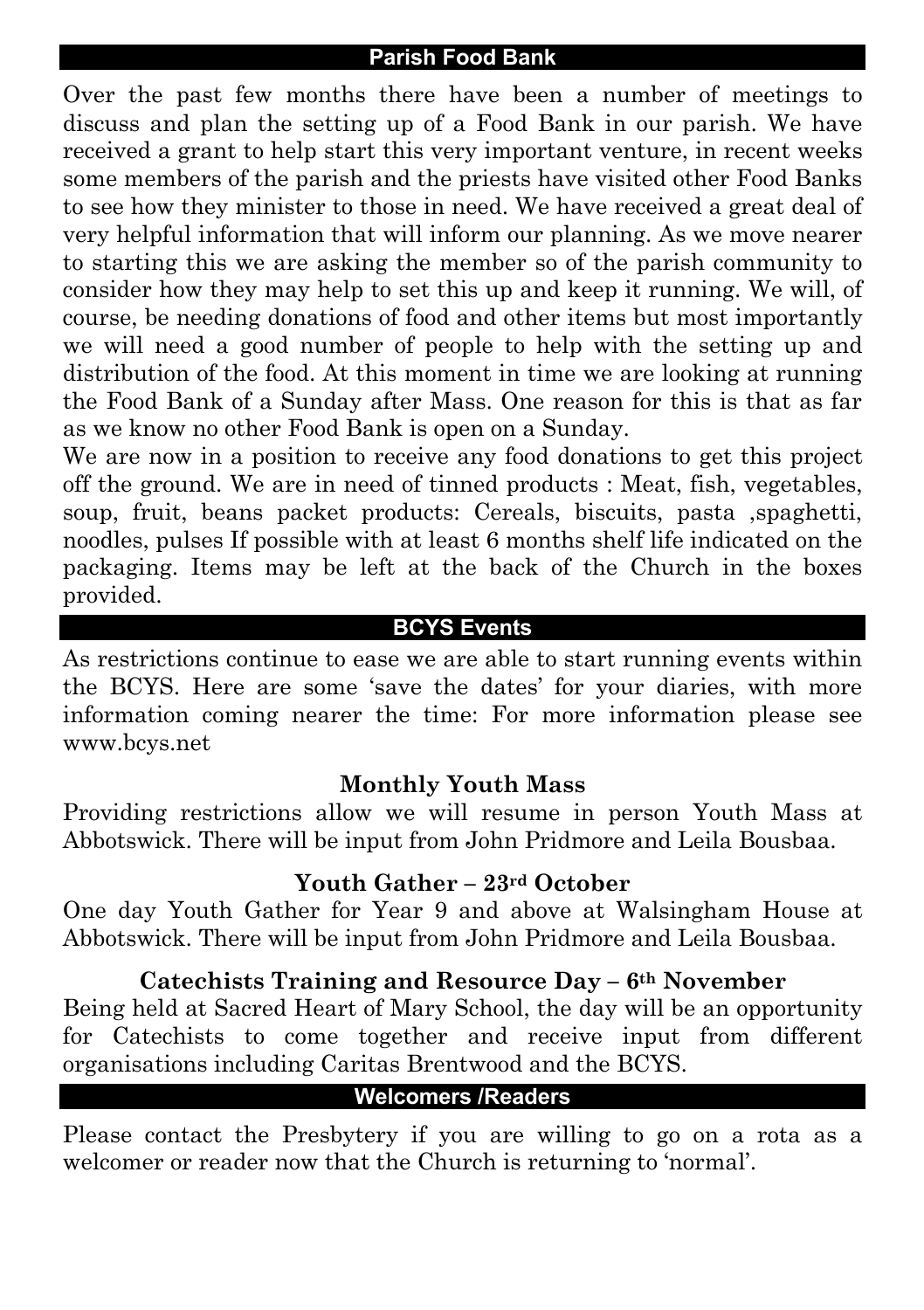#### **Parish Food Bank**

Over the past few months there have been a number of meetings to discuss and plan the setting up of a Food Bank in our parish. We have received a grant to help start this very important venture, in recent weeks some members of the parish and the priests have visited other Food Banks to see how they minister to those in need. We have received a great deal of very helpful information that will inform our planning. As we move nearer to starting this we are asking the member so of the parish community to consider how they may help to set this up and keep it running. We will, of course, be needing donations of food and other items but most importantly we will need a good number of people to help with the setting up and distribution of the food. At this moment in time we are looking at running the Food Bank of a Sunday after Mass. One reason for this is that as far as we know no other Food Bank is open on a Sunday.

We are now in a position to receive any food donations to get this project off the ground. We are in need of tinned products : Meat, fish, vegetables, soup, fruit, beans packet products: Cereals, biscuits, pasta ,spaghetti, noodles, pulses If possible with at least 6 months shelf life indicated on the packaging. Items may be left at the back of the Church in the boxes provided.

### **BCYS Events**

As restrictions continue to ease we are able to start running events within the BCYS. Here are some 'save the dates' for your diaries, with more information coming nearer the time: For more information please see www.bcys.net

## **Monthly Youth Mass**

Providing restrictions allow we will resume in person Youth Mass at Abbotswick. There will be input from John Pridmore and Leila Bousbaa.

#### **Youth Gather – 23rd October**

One day Youth Gather for Year 9 and above at Walsingham House at Abbotswick. There will be input from John Pridmore and Leila Bousbaa.

## **Catechists Training and Resource Day – 6th November**

Being held at Sacred Heart of Mary School, the day will be an opportunity for Catechists to come together and receive input from different organisations including Caritas Brentwood and the BCYS.

## **Welcomers /Readers**

Please contact the Presbytery if you are willing to go on a rota as a welcomer or reader now that the Church is returning to 'normal'.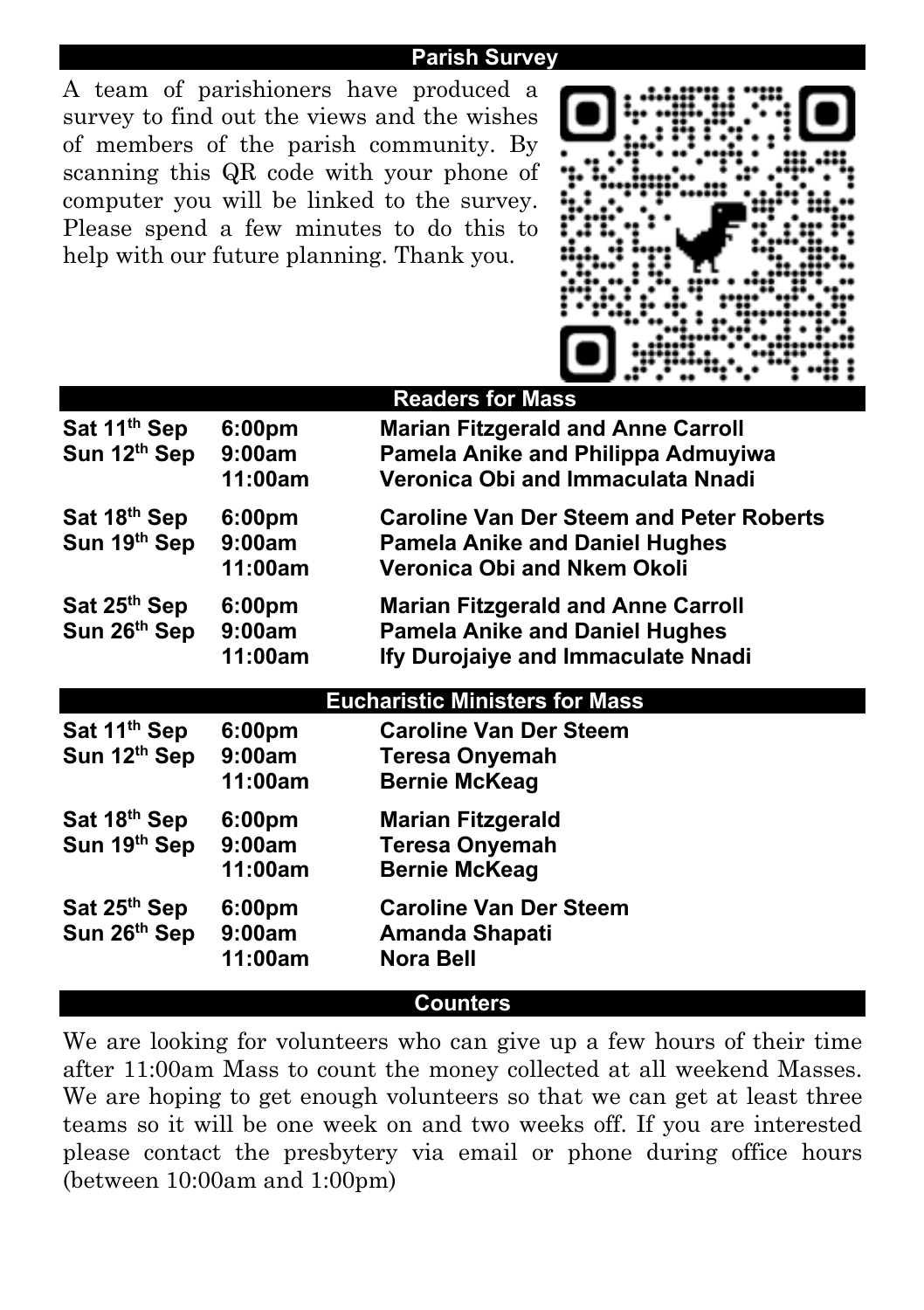#### **Parish Survey**

A team of parishioners have produced a survey to find out the views and the wishes of members of the parish community. By scanning this QR code with your phone of computer you will be linked to the survey. Please spend a few minutes to do this to help with our future planning. Thank you.



|                                          |                                         | <b>Readers for Mass</b>                                                                                                  |
|------------------------------------------|-----------------------------------------|--------------------------------------------------------------------------------------------------------------------------|
| Sat 11 <sup>th</sup> Sep<br>Sun 12th Sep | 6:00pm<br>9:00am<br>11:00am             | <b>Marian Fitzgerald and Anne Carroll</b><br>Pamela Anike and Philippa Admuyiwa<br>Veronica Obi and Immaculata Nnadi     |
| Sat 18th Sep<br>Sun 19th Sep             | 6:00 <sub>pm</sub><br>9:00am<br>11:00am | <b>Caroline Van Der Steem and Peter Roberts</b><br><b>Pamela Anike and Daniel Hughes</b><br>Veronica Obi and Nkem Okoli  |
| Sat 25 <sup>th</sup> Sep<br>Sun 26th Sep | 6:00pm<br>9:00am<br>11:00am             | <b>Marian Fitzgerald and Anne Carroll</b><br><b>Pamela Anike and Daniel Hughes</b><br>Ify Durojaiye and Immaculate Nnadi |
|                                          |                                         | <b>Eucharistic Ministers for Mass</b>                                                                                    |
| Sat 11 <sup>th</sup> Sep<br>Sun 12th Sep | 6:00pm<br>9:00am<br>11:00am             | <b>Caroline Van Der Steem</b><br><b>Teresa Onyemah</b><br><b>Bernie McKeag</b>                                           |
| Sat 18th Sep<br>Sun 19th Sep             | 6:00 <sub>pm</sub><br>9:00am<br>11:00am | <b>Marian Fitzgerald</b><br><b>Teresa Onyemah</b><br><b>Bernie McKeag</b>                                                |
| Sat 25 <sup>th</sup> Sep<br>Sun 26th Sep | 6:00pm<br>9:00am<br>11:00am             | <b>Caroline Van Der Steem</b><br>Amanda Shapati<br><b>Nora Bell</b>                                                      |
|                                          |                                         | Counters                                                                                                                 |
|                                          |                                         |                                                                                                                          |

We are looking for volunteers who can give up a few hours of their time after 11:00am Mass to count the money collected at all weekend Masses. We are hoping to get enough volunteers so that we can get at least three teams so it will be one week on and two weeks off. If you are interested please contact the presbytery via email or phone during office hours (between 10:00am and 1:00pm)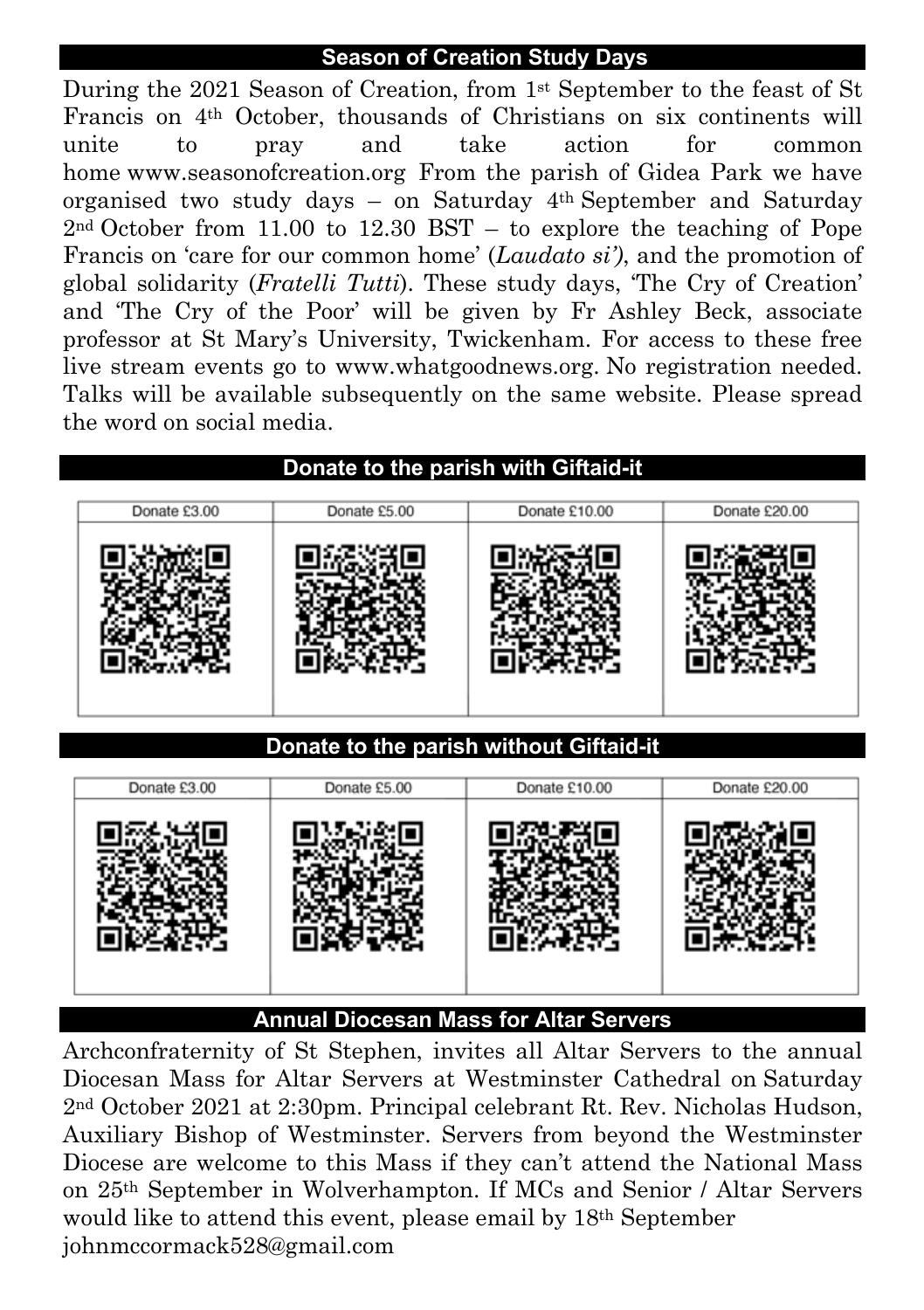## **Season of Creation Study Days**

During the 2021 Season of Creation, from 1st September to the feast of St Francis on 4th October, thousands of Christians on six continents will unite to pray and take action for common home www.seasonofcreation.org From the parish of Gidea Park we have organised two study days – on Saturday 4th September and Saturday 2nd October from 11.00 to 12.30 BST – to explore the teaching of Pope Francis on 'care for our common home' (*Laudato si')*, and the promotion of global solidarity (*Fratelli Tutti*). These study days, 'The Cry of Creation' and 'The Cry of the Poor' will be given by Fr Ashley Beck, associate professor at St Mary's University, Twickenham. For access to these free live stream events go to www.whatgoodnews.org. No registration needed. Talks will be available subsequently on the same website. Please spread the word on social media.



## **Annual Diocesan Mass for Altar Servers**

Archconfraternity of St Stephen, invites all Altar Servers to the annual Diocesan Mass for Altar Servers at Westminster Cathedral on Saturday 2nd October 2021 at 2:30pm. Principal celebrant Rt. Rev. Nicholas Hudson, Auxiliary Bishop of Westminster. Servers from beyond the Westminster Diocese are welcome to this Mass if they can't attend the National Mass on 25th September in Wolverhampton. If MCs and Senior / Altar Servers would like to attend this event, please email by 18th September johnmccormack528@gmail.com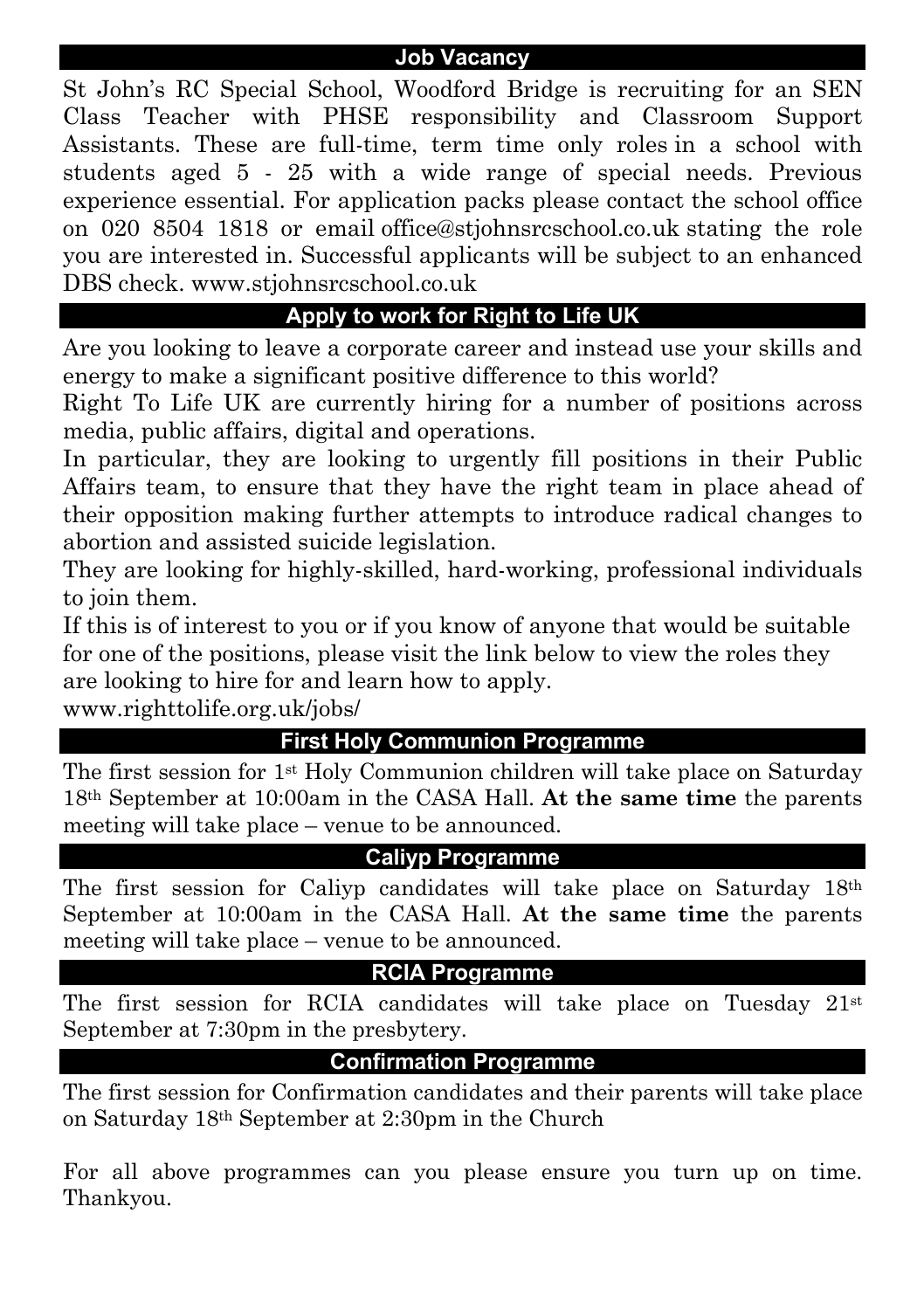### **Job Vacancy**

St John's RC Special School, Woodford Bridge is recruiting for an SEN Class Teacher with PHSE responsibility and Classroom Support Assistants. These are full-time, term time only roles in a school with students aged 5 - 25 with a wide range of special needs. Previous experience essential. For application packs please contact the school office on 020 8504 1818 or email office@stjohnsrcschool.co.uk stating the role you are interested in. Successful applicants will be subject to an enhanced DBS check. www.stjohnsrcschool.co.uk

# **Apply to work for Right to Life UK**

Are you looking to leave a corporate career and instead use your skills and energy to make a significant positive difference to this world?

Right To Life UK are currently hiring for a number of positions across media, public affairs, digital and operations.

In particular, they are looking to urgently fill positions in their Public Affairs team, to ensure that they have the right team in place ahead of their opposition making further attempts to introduce radical changes to abortion and assisted suicide legislation.

They are looking for highly-skilled, hard-working, professional individuals to join them.

If this is of interest to you or if you know of anyone that would be suitable for one of the positions, please visit the link below to view the roles they are looking to hire for and learn how to apply.

www.righttolife.org.uk/jobs/

# **First Holy Communion Programme**

The first session for 1st Holy Communion children will take place on Saturday 18th September at 10:00am in the CASA Hall. **At the same time** the parents meeting will take place – venue to be announced.

## **Caliyp Programme**

The first session for Caliyp candidates will take place on Saturday 18th September at 10:00am in the CASA Hall. **At the same time** the parents meeting will take place – venue to be announced.

## **RCIA Programme**

The first session for RCIA candidates will take place on Tuesday  $21<sup>st</sup>$ September at 7:30pm in the presbytery.

## **Confirmation Programme**

The first session for Confirmation candidates and their parents will take place on Saturday 18th September at 2:30pm in the Church

For all above programmes can you please ensure you turn up on time. Thankyou.